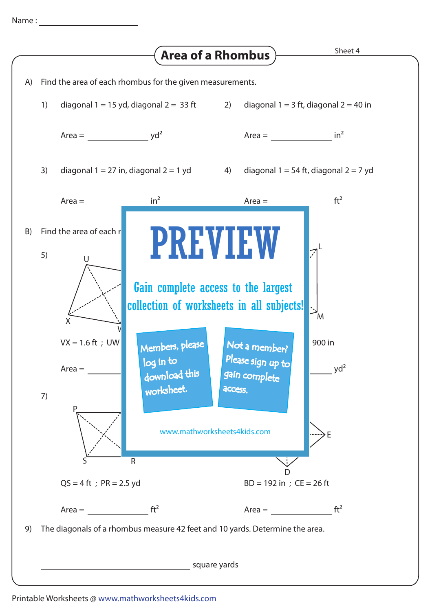